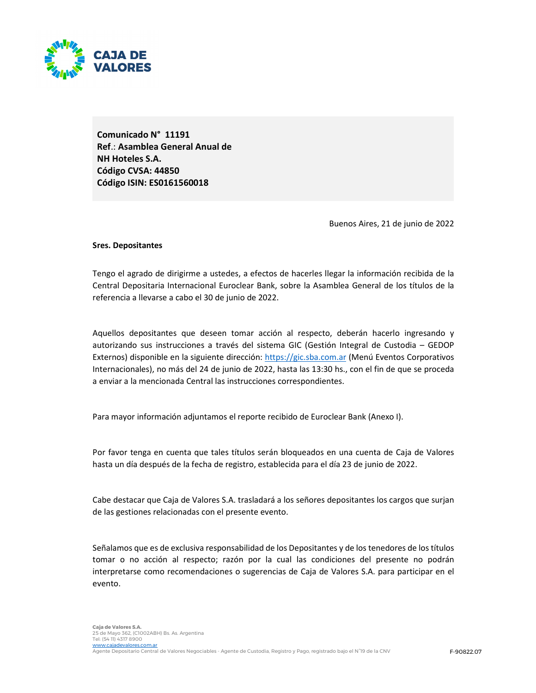

Comunicado N° 11191 Ref.: Asamblea General Anual de NH Hoteles S.A. Código CVSA: 44850 Código ISIN: ES0161560018

Buenos Aires, 21 de junio de 2022

### Sres. Depositantes

Tengo el agrado de dirigirme a ustedes, a efectos de hacerles llegar la información recibida de la Central Depositaria Internacional Euroclear Bank, sobre la Asamblea General de los títulos de la referencia a llevarse a cabo el 30 de junio de 2022.

Aquellos depositantes que deseen tomar acción al respecto, deberán hacerlo ingresando y autorizando sus instrucciones a través del sistema GIC (Gestión Integral de Custodia – GEDOP Externos) disponible en la siguiente dirección: https://gic.sba.com.ar (Menú Eventos Corporativos Internacionales), no más del 24 de junio de 2022, hasta las 13:30 hs., con el fin de que se proceda a enviar a la mencionada Central las instrucciones correspondientes.

Para mayor información adjuntamos el reporte recibido de Euroclear Bank (Anexo I).

Por favor tenga en cuenta que tales títulos serán bloqueados en una cuenta de Caja de Valores hasta un día después de la fecha de registro, establecida para el día 23 de junio de 2022.

Cabe destacar que Caja de Valores S.A. trasladará a los señores depositantes los cargos que surjan de las gestiones relacionadas con el presente evento.

Señalamos que es de exclusiva responsabilidad de los Depositantes y de los tenedores de los títulos tomar o no acción al respecto; razón por la cual las condiciones del presente no podrán interpretarse como recomendaciones o sugerencias de Caja de Valores S.A. para participar en el evento.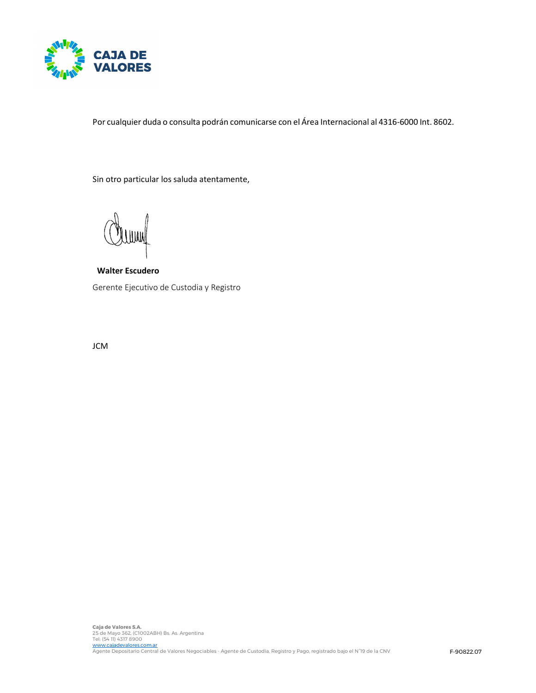

Por cualquier duda o consulta podrán comunicarse con el Área Internacional al 4316-6000 Int. 8602.

Sin otro particular los saluda atentamente,

Walter Escudero Gerente Ejecutivo de Custodia y Registro

JCM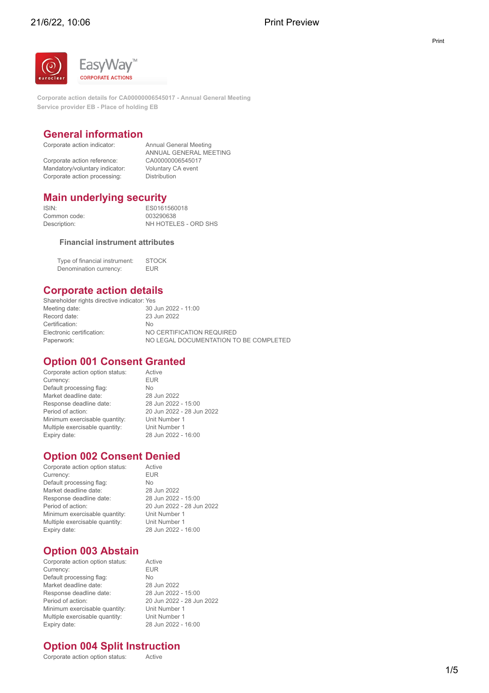

**Corporate action details for CA00000006545017 - Annual General Meeting Service provider EB - Place of holding EB**

# **General information**<br>Corporate action indicator: Annual General Meeting

Corporate action indicator: Corporate action reference:

Corporate action processing:

ANNUAL GENERAL MEETING<br>CA00000006545017 Mandatory/voluntary indicator: Voluntary CA event<br>Corporate action processing: Distribution

# **Main underlying security**

Common code:<br>Description:

ISIN: ES0161560018<br>Common code: 003290638 NH HOTELES - ORD SHS

#### **Financial instrument attributes**

Type of financial instrument: STOCK Denomination currency: EUR

## **Corporate action details**

Shareholder rights directive indicator: Yes Meeting date: 30 Jun 2022 - 11:00<br>Record date: 23 Jun 2022 23 Jun 2022 Certification: No Electronic certification: <br>
Paperwork: 
NO LEGAL DOCUMENTATION TO NO LEGAL DOCUMENTATION TO BE COMPLETED

### **Option 001 Consent Granted**

Corporate action option status: Active<br>Currency: EUR Currency: EU<br>Default processing flag: No Default processing flag:<br>
Market deadline date: 
28 Jun 2022 Market deadline date: Response deadline date: 28 Jun 2022 - 15:00<br>Period of action: 20 Jun 2022 - 28 Jun Minimum exercisable quantity: Unit Number 1<br>
Multiple exercisable quantity: Unit Number 1 Multiple exercisable quantity:<br>Expiry date:

20 Jun 2022 - 28 Jun 2022 28 Jun 2022 - 16:00

# **Option 002 Consent Denied**<br>Corporate action option status: Active

Corporate action option status: Currency: EUR Default processing flag: No Market deadline date: 28 Jun 2022 Response deadline date: 28 Jun 2022 - 15:00 Period of action: 20 Jun 2022 - 28 Jun 2022 Minimum exercisable quantity: Unit Number 1 Multiple exercisable quantity: Unit Number 1 Expiry date: 28 Jun 2022 - 16:00

# **Option 003 Abstain**

Corporate action option status: Active **Currency:** EUR<br>
Default processing flag: No Default processing flag:<br>
Market deadline date:<br>
28 Jun 2022 Market deadline date: Response deadline date: 28 Jun 2022 - 15:00<br>Period of action: 20 Jun 2022 - 28 Jun Minimum exercisable quantity: Unit Number 1 Multiple exercisable quantity:<br>Expiry date:

20 Jun 2022 - 28 Jun 2022<br>Unit Number 1 28 Jun 2022 - 16:00

# **Option 004 Split Instruction**

Corporate action option status: Active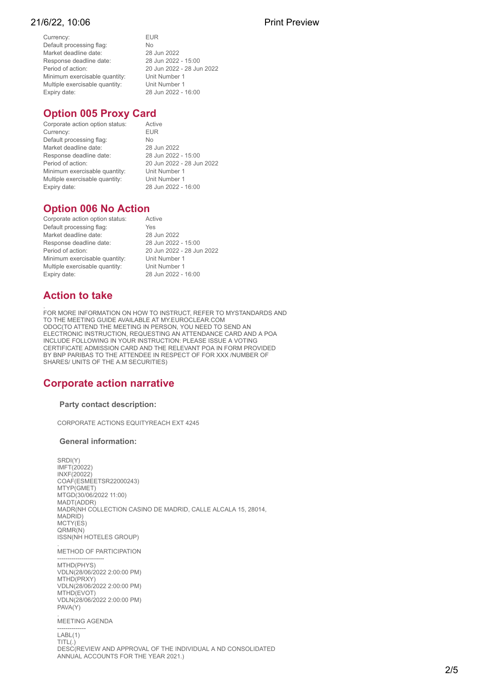#### 21/6/22 10:06 Print Preview

Currency: EUR Default processing flag:<br>
Market deadline date:<br>
Market deadline date:<br>
28 Jun 2022 Market deadline date: 28 Jun 2022<br>Response deadline date: 28 Jun 2022 - 15:00 Response deadline date:<br>Period of action: Minimum exercisable quantity: Unit Number 1<br>Multiple exercisable quantity: Unit Number 1 Multiple exercisable quantity:<br>Expiry date:

20 Jun 2022 - 28 Jun 2022<br>Unit Number 1 28 Jun 2022 - 16:00

## **Option 005 Proxy Card**

**Corporate action option status:** Active<br>Currency: ELIR Currency: Default processing flag:<br>
Market deadline date:<br>
28 Jun 2022 Market deadline date: 28 Jun 2022<br>Response deadline date: 28 Jun 2022 - 15:00 Response deadline date:<br>Period of action: Minimum exercisable quantity: Unit Number 1<br>Multiple exercisable quantity: Unit Number 1 Multiple exercisable quantity:<br>Expiry date:

20 Jun 2022 - 28 Jun 2022<br>Unit Number 1 28 Jun 2022 - 16:00

# **Option 006 No Action**

| Corporate action option status: | Active                    |
|---------------------------------|---------------------------|
| Default processing flag:        | Yes                       |
| Market deadline date:           | 28 Jun 2022               |
| Response deadline date:         | 28 Jun 2022 - 15:00       |
| Period of action:               | 20 Jun 2022 - 28 Jun 2022 |
| Minimum exercisable quantity:   | Unit Number 1             |
| Multiple exercisable quantity:  | Unit Number 1             |
| Expiry date:                    | 28 Jun 2022 - 16:00       |
|                                 |                           |

# **Action to take**

FOR MORE INFORMATION ON HOW TO INSTRUCT, REFER TO MYSTANDARDS AND<br>TO THE MEETING GUIDE AVAILABLE AT MY.EUROCLEAR.COM<br>ODOC(TO ATTEND THE MEETING IN PERSON, YOU NEED TO SEND AN<br>ELECTRONIC INSTRUCTION, REQUESTING AN ATTENDANC CERTIFICATE ADMISSION CARD AND THE RELEVANT POA IN FORM PROVIDED<br>BY BNP PARIBAS TO THE ATTENDEE IN RESPECT OF FOR XXX /NUMBER OF<br>SHARES/ UNITS OF THE A.M SECURITIES)

## **Corporate action narrative**

#### **Party contact description:**

CORPORATE ACTIONS EQUITYREACH EXT 4245

#### **General information:**

SRDI(Y) IMFT(20022) INXF(20022) COAF(ESMEETSR22000243) MTYP(GMET) MTGD(30/06/2022 11:00) MADT(ADDR) MADR(NH COLLECTION CASINO DE MADRID, CALLE ALCALA 15, 28014, MADRID) MCTY(ES) QRMR(N) ISSN(NH HOTELES GROUP)

. METHOD OF PARTICIPATION

 $MTH D/PHYS$ VDLN(28/06/2022 2:00:00 PM) MTHD(PRXY) VDLN(28/06/2022 2:00:00 PM) MTHD(EVOT) VDLN(28/06/2022 2:00:00 PM) PAVA(Y)

. MEETING AGENDA

--------------<br>LABL(1) TITL(.) DESC(REVIEW AND APPROVAL OF THE INDIVIDUAL A ND CONSOLIDATED ANNUAL ACCOUNTS FOR THE YEAR 2021.)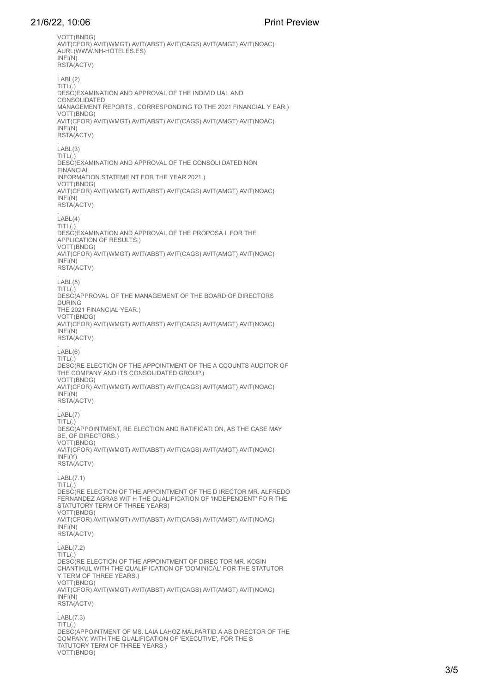#### 21/6/22 10:06 Print Preview

VOTT(BNDG) AVIT(CFOR) AVIT(WMGT) AVIT(ABST) AVIT(CAGS) AVIT(AMGT) AVIT(NOAC) AURL(WWW.NH-HOTELES.ES) RSTA(ACTV . LABL(2) TITL(.) .......<br>DESC(EXAMINATION AND APPROVAL OF THE INDIVID UAL AND<br>CONSOLIDATED CONSOLIDING MANAGEMENT REPORTS , CORRESPONDING TO THE 2021 FINANCIAL Y EAR.)<br>VOTT/BNDG) VOTT(CFOR) AVIT(WMGT) AVIT(ABST) AVIT(CAGS) AVIT(AMGT) AVIT(NOAC)<br>INFI(N) INFI(N) RSTA(ACTV) . LABL(3)  $TITL(.)$ DESC(EXAMINATION AND APPROVAL OF THE CONSOLI DATED NON **EINANCIAL** INFORMATION STATEME NT FOR THE YEAR 2021.)<br>VOTT/BNDG\ AVIT(CFOR) AVIT(WMGT) AVIT(ABST) AVIT(CAGS) AVIT(AMGT) AVIT(NOAC)<br>INFI(N) RSTA(ACTV) .<br>LABL(4)  $TITL(.)$ DESC(EXAMINATION AND APPROVAL OF THE PROPOSA L FOR THE<br>APPLICATION OF RESULTS.)<br>VOTT(BNDG) AVIT(CFOR) AVIT(WMGT) AVIT(ABST) AVIT(CAGS) AVIT(AMGT) AVIT(NOAC)<br>INFI(N) RSTA(ACTV) .<br>LABL(5) TITL(.) DESC(APPROVAL OF THE MANAGEMENT OF THE BOARD OF DIRECTORS DURING<br>THE 2021 FINANCIAL YEAR.)<br>VOTT(BNDG) AVIT(CFOR) AVIT(WMGT) AVIT(ABST) AVIT(CAGS) AVIT(AMGT) AVIT(NOAC)<br>INFI(N) RSTA(ACTV) . LABL(6)  $TITL(.)$ DESC(RE ELECTION OF THE APPOINTMENT OF THE A CCOUNTS AUDITOR OF<br>THE COMPANY AND ITS CONSOLIDATED GROUP.)<br>VOTT(BNDG) AVIT(CFOR) AVIT(WMGT) AVIT(ABST) AVIT(CAGS) AVIT(AMGT) AVIT(NOAC)<br>INFI(N) RSTA(ACTV) .<br>LABL(7)  $TITL(.)$ DESC(APPOINTMENT, RE ELECTION AND RATIFICATI ON, AS THE CASE MAY<br>BE, OF DIRECTORS.)<br>VOTT(BNDG) AVIT(CFOR) AVIT(WMGT) AVIT(ABST) AVIT(CAGS) AVIT(AMGT) AVIT(NOAC)<br>INFI(Y) RSTA(ACTV) .<br>LABL(7.1) TITL(.) DESC(RE ELECTION OF THE APPOINTMENT OF THE D IRECTOR MR. ALFREDO FERNANDEZ AGRAS WIT H THE QUALIFICATION OF 'INDEPENDENT' FO R THE<br>STATUTORY TERM OF THREE YEARS)<br>VOTT(BNDG) AVIT(CFOR) AVIT(WMGT) AVIT(ABST) AVIT(CAGS) AVIT(AMGT) AVIT(NOAC)<br>INFI(N) RSTA(ACTV) .<br>LABL(7.2) TITL(.)<br>DESC(RE ELECTION OF THE APPOINTMENT OF DIREC TOR MR. KOSIN CHANTIKUL WITH THE QUALIF ICATION OF 'DOMINICAL' FOR THE STATUTOR Y TERM OF THE STATUTOR<br>Y TERM OF THREE YEARS.)<br>VOTT(BNDG) AVIT(CFOR) AVIT(WMGT) AVIT(ABST) AVIT(CAGS) AVIT(AMGT) AVIT(NOAC)<br>INFI(N) RSTA(ACTV) .<br>LABL(7.3)  $TITL(.)$ DESC(APPOINTMENT OF MS. LAIA LAHOZ MALPARTID A AS DIRECTOR OF THE COMPANY, WITH THE QUALIFICATION OF 'EXECUTIVE', FOR THE S TATUTORY TERM OF THREE YEARS.) VOTT(BNDG)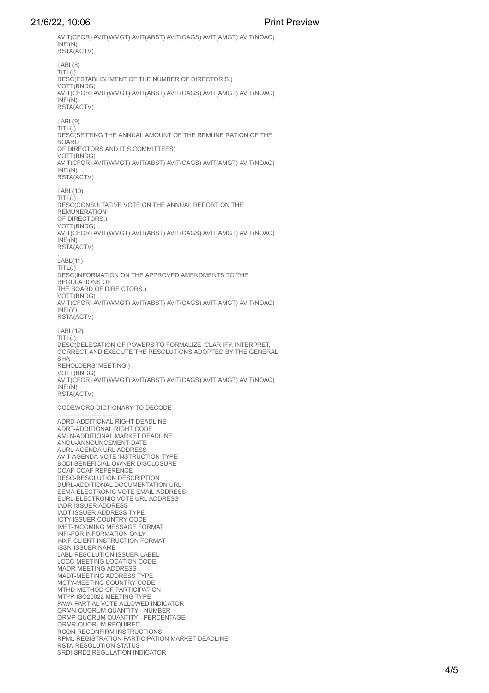#### 21/6/22, 10:06 Print Preview

AVIT(CFOR) AVIT(WMGT) AVIT(ABST) AVIT(CAGS) AVIT(AMGT) AVIT(NOAC) RSTA(ACTV) . LABL(8)  $TITL(.)$ DESC(ESTABLISHMENT OF THE NUMBER OF DIRECTOR S.)<br>VOTT/BNDG) AVIT(CFOR) AVIT(WMGT) AVIT(ABST) AVIT(CAGS) AVIT(AMGT) AVIT(NOAC)<br>INFI(N) INFI(N) RSTA(ACTV) . LABL(9)  $TITL(.)$ ....<br>DESC(SETTING THE ANNUAL AMOUNT OF THE REMUNE RATION OF THE<br>BOARD OF DIRECTORS AND IT S COMMITTEES) VOTT(BNDG)<br>AVIT(CFOR) AVIT(WMGT) AVIT(ABST) AVIT(CAGS) AVIT(AMGT) AVIT(NOAC)<br>INEI/N) RSTA(ACTV) .<br>LABL(10)  $TITL(.)$ DESC(CONSULTATIVE VOTE ON THE ANNUAL REPORT ON THE<br>REMUNERATION OF DIRECTORS.)<br>VOTT(BNDG) AVIT(CFOR) AVIT(WMGT) AVIT(ABST) AVIT(CAGS) AVIT(AMGT) AVIT(NOAC)<br>INFI(N) RSTA(ACTV) .<br>LABL(11) TITL(.) DESC(INFORMATION ON THE APPROVED AMENDMENTS TO THE REGULATIONS OF<br>THE BOARD OF DIRE CTORS.)<br>VOTT(BNDG) AVIT(CFOR) AVIT(WMGT) AVIT(ABST) AVIT(CAGS) AVIT(AMGT) AVIT(NOAC)<br>INFI(Y) RSTA(ACTV) .<br>LABL(12) TITL(.)<br>DESC(DELEGATION OF POWERS TO FORMALIZE, CLAR IFY, INTERPRET, DESCRIPCION OF POWERS TO FORMALIZE, CLARA IT IS AN ARRECT AND EXECUTE THE RESOLUTIONS ADOPTED BY THE GENERAL SHA REHOLDERS' MEETING.)<br>VOTT(BNDG) AVIT(CFOR) AVIT(WMGT) AVIT(ABST) AVIT(CAGS) AVIT(AMGT) AVIT(NOAC)<br>INFI(N) RSTA(ACTV) . CODEWORD DICTIONARY TO DECODE **ADRE)-ADDITIONAL RIGHT DEADLINE<br>ADRT-ADDITIONAL RIGHT CODE<br>AMNA-ADDITIONAL MARKET DEADLINE<br>ANOU-ANNOUNCEMENT DATE<br>ANNO-ANNOUNCEMENT DATE<br>AVIT-AGENDA URL ADDRESS<br>COAF-COAF REFERENCE<br>BODI-BENEFICIAL OWNER DISCOUSE<br>DESC-RESO** IADR-ISSUER ADDRESS IADT-ISSUER ADDRESS TYPE ICTY-ISSUER COUNTRY CODE IMFT-INCOMING MESSAGE FORMAT INFI-FOR INFORMATION ONLY INXF-CLIENT INSTRUCTION FORMAT ISSN-ISSUER NAME LABL-RESOLUTION ISSUER LABEL<br>LOCC-MEETING LOCATION CODE LOCC-MEETING LOCATION CODE<br>MADR-MEETING ADDRESS<br>MADT-MEETING COUNTRY CODE<br>MTHD-METING COUNTRY CODE<br>MTHD-METING COUNTRY CODE<br>MTHD-METING OF PARTICIPATION<br>DRVP-ISO2022 MEETING THOWED INDICATOR<br>ORMP-QUORUM QUANTITY - PERCENTA